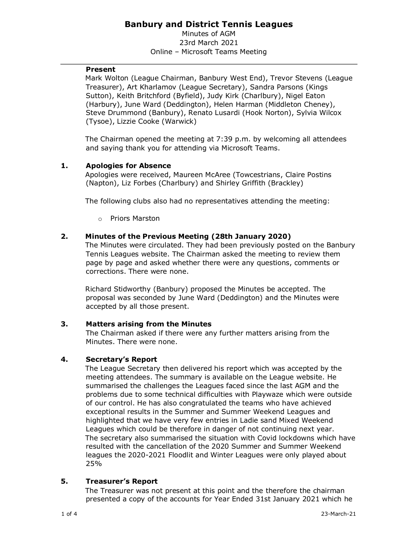# **Banbury and District Tennis Leagues**

Minutes of AGM 23rd March 2021 Online – Microsoft Teams Meeting

### **Present**

Mark Wolton (League Chairman, Banbury West End), Trevor Stevens (League Treasurer), Art Kharlamov (League Secretary), Sandra Parsons (Kings Sutton), Keith Britchford (Byfield), Judy Kirk (Charlbury), Nigel Eaton (Harbury), June Ward (Deddington), Helen Harman (Middleton Cheney), Steve Drummond (Banbury), Renato Lusardi (Hook Norton), Sylvia Wilcox (Tysoe), Lizzie Cooke (Warwick)

The Chairman opened the meeting at 7:39 p.m. by welcoming all attendees and saying thank you for attending via Microsoft Teams.

## **1. Apologies for Absence**

Apologies were received, Maureen McAree (Towcestrians, Claire Postins (Napton), Liz Forbes (Charlbury) and Shirley Griffith (Brackley)

The following clubs also had no representatives attending the meeting:

o Priors Marston

## **2. Minutes of the Previous Meeting (28th January 2020)**

The Minutes were circulated. They had been previously posted on the Banbury Tennis Leagues website. The Chairman asked the meeting to review them page by page and asked whether there were any questions, comments or corrections. There were none.

Richard Stidworthy (Banbury) proposed the Minutes be accepted. The proposal was seconded by June Ward (Deddington) and the Minutes were accepted by all those present.

## **3. Matters arising from the Minutes**

The Chairman asked if there were any further matters arising from the Minutes. There were none.

## **4. Secretary's Report**

The League Secretary then delivered his report which was accepted by the meeting attendees. The summary is available on the League website. He summarised the challenges the Leagues faced since the last AGM and the problems due to some technical difficulties with Playwaze which were outside of our control. He has also congratulated the teams who have achieved exceptional results in the Summer and Summer Weekend Leagues and highlighted that we have very few entries in Ladie sand Mixed Weekend Leagues which could be therefore in danger of not continuing next year. The secretary also summarised the situation with Covid lockdowns which have resulted with the cancellation of the 2020 Summer and Summer Weekend leagues the 2020-2021 Floodlit and Winter Leagues were only played about 25%

## **5. Treasurer's Report**

The Treasurer was not present at this point and the therefore the chairman presented a copy of the accounts for Year Ended 31st January 2021 which he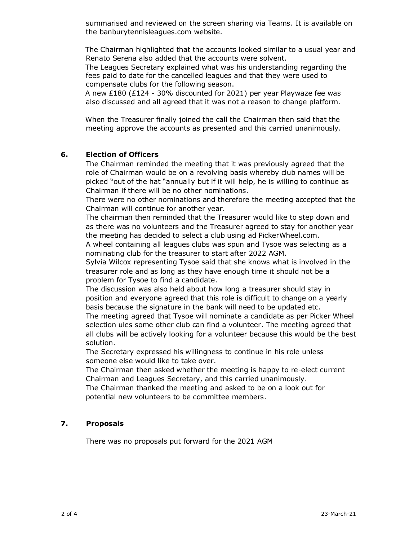summarised and reviewed on the screen sharing via Teams. It is available on the banburytennisleagues.com website.

The Chairman highlighted that the accounts looked similar to a usual year and Renato Serena also added that the accounts were solvent.

The Leagues Secretary explained what was his understanding regarding the fees paid to date for the cancelled leagues and that they were used to compensate clubs for the following season.

A new £180 (£124 - 30% discounted for 2021) per year Playwaze fee was also discussed and all agreed that it was not a reason to change platform.

When the Treasurer finally joined the call the Chairman then said that the meeting approve the accounts as presented and this carried unanimously.

#### **6. Election of Officers**

The Chairman reminded the meeting that it was previously agreed that the role of Chairman would be on a revolving basis whereby club names will be picked "out of the hat "annually but if it will help, he is willing to continue as Chairman if there will be no other nominations.

There were no other nominations and therefore the meeting accepted that the Chairman will continue for another year.

The chairman then reminded that the Treasurer would like to step down and as there was no volunteers and the Treasurer agreed to stay for another year the meeting has decided to select a club using ad PickerWheel.com.

A wheel containing all leagues clubs was spun and Tysoe was selecting as a nominating club for the treasurer to start after 2022 AGM.

Sylvia Wilcox representing Tysoe said that she knows what is involved in the treasurer role and as long as they have enough time it should not be a problem for Tysoe to find a candidate.

The discussion was also held about how long a treasurer should stay in position and everyone agreed that this role is difficult to change on a yearly basis because the signature in the bank will need to be updated etc.

The meeting agreed that Tysoe will nominate a candidate as per Picker Wheel selection ules some other club can find a volunteer. The meeting agreed that all clubs will be actively looking for a volunteer because this would be the best solution.

The Secretary expressed his willingness to continue in his role unless someone else would like to take over.

The Chairman then asked whether the meeting is happy to re-elect current Chairman and Leagues Secretary, and this carried unanimously.

The Chairman thanked the meeting and asked to be on a look out for potential new volunteers to be committee members.

#### **7. Proposals**

There was no proposals put forward for the 2021 AGM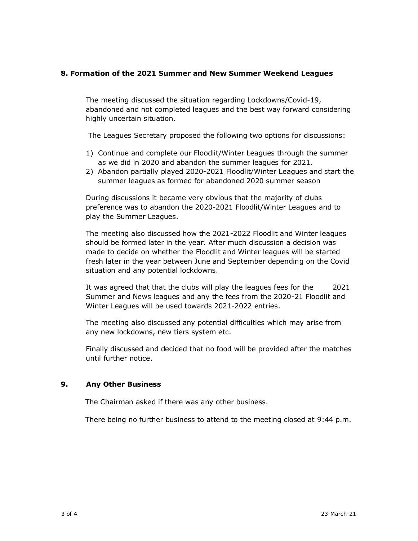### **8. Formation of the 2021 Summer and New Summer Weekend Leagues**

The meeting discussed the situation regarding Lockdowns/Covid-19, abandoned and not completed leagues and the best way forward considering highly uncertain situation.

The Leagues Secretary proposed the following two options for discussions:

- 1) Continue and complete our Floodlit/Winter Leagues through the summer as we did in 2020 and abandon the summer leagues for 2021.
- 2) Abandon partially played 2020-2021 Floodlit/Winter Leagues and start the summer leagues as formed for abandoned 2020 summer season

During discussions it became very obvious that the majority of clubs preference was to abandon the 2020-2021 Floodlit/Winter Leagues and to play the Summer Leagues.

The meeting also discussed how the 2021-2022 Floodlit and Winter leagues should be formed later in the year. After much discussion a decision was made to decide on whether the Floodlit and Winter leagues will be started fresh later in the year between June and September depending on the Covid situation and any potential lockdowns.

It was agreed that that the clubs will play the leagues fees for the 2021 Summer and News leagues and any the fees from the 2020-21 Floodlit and Winter Leagues will be used towards 2021-2022 entries.

The meeting also discussed any potential difficulties which may arise from any new lockdowns, new tiers system etc.

Finally discussed and decided that no food will be provided after the matches until further notice.

#### **9. Any Other Business**

The Chairman asked if there was any other business.

There being no further business to attend to the meeting closed at 9:44 p.m.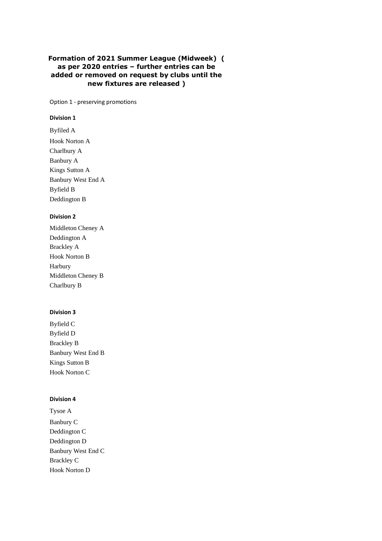### **Formation of 2021 Summer League (Midweek) ( as per 2020 entries – further entries can be added or removed on request by clubs until the new fixtures are released )**

Option 1 - preserving promotions

#### **Division 1**

Byfiled A Hook Norton A Charlbury A Banbury A Kings Sutton A Banbury West End A Byfield B Deddington B

#### **Division 2**

| Middleton Cheney A   |
|----------------------|
| Deddington A         |
| <b>Brackley A</b>    |
| <b>Hook Norton B</b> |
| Harbury              |
| Middleton Cheney B   |
| Charlbury B          |

#### **Division 3**

Byfield C Byfield D Brackley B Banbury West End B Kings Sutton B Hook Norton C

#### **Division 4**

Tysoe A Banbury C Deddington C Deddington D Banbury West End C Brackley C Hook Norton D